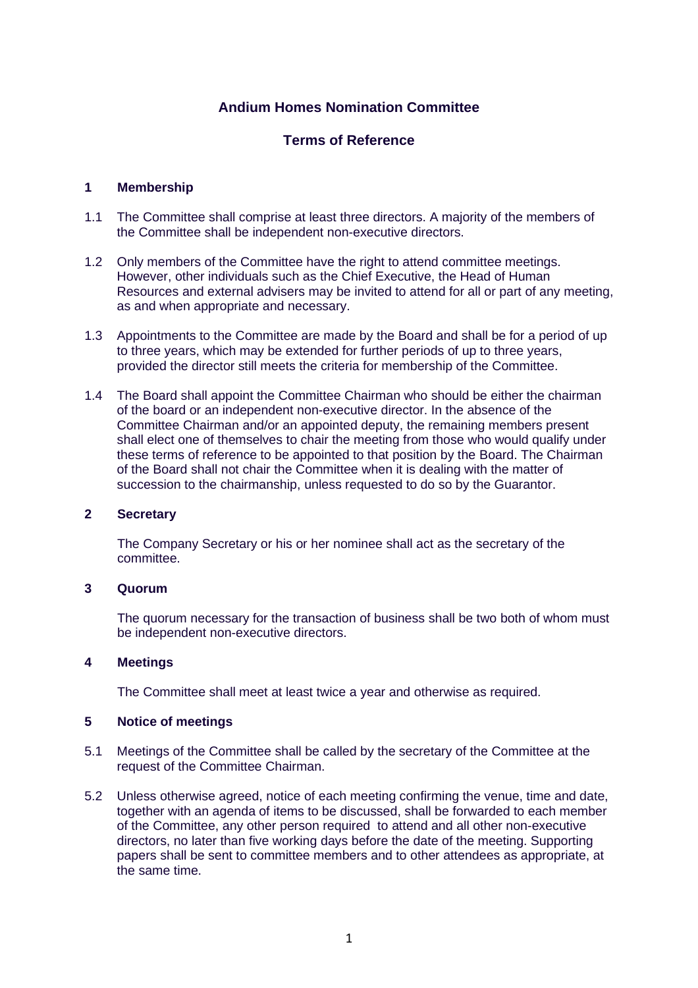# **Andium Homes Nomination Committee**

# **Terms of Reference**

### **1 Membership**

- 1.1 The Committee shall comprise at least three directors. A majority of the members of the Committee shall be independent non-executive directors.
- 1.2 Only members of the Committee have the right to attend committee meetings. However, other individuals such as the Chief Executive, the Head of Human Resources and external advisers may be invited to attend for all or part of any meeting, as and when appropriate and necessary.
- 1.3 Appointments to the Committee are made by the Board and shall be for a period of up to three years, which may be extended for further periods of up to three years, provided the director still meets the criteria for membership of the Committee.
- 1.4 The Board shall appoint the Committee Chairman who should be either the chairman of the board or an independent non-executive director. In the absence of the Committee Chairman and/or an appointed deputy, the remaining members present shall elect one of themselves to chair the meeting from those who would qualify under these terms of reference to be appointed to that position by the Board. The Chairman of the Board shall not chair the Committee when it is dealing with the matter of succession to the chairmanship, unless requested to do so by the Guarantor.

#### **2 Secretary**

The Company Secretary or his or her nominee shall act as the secretary of the committee.

# **3 Quorum**

The quorum necessary for the transaction of business shall be two both of whom must be independent non-executive directors.

#### **4 Meetings**

The Committee shall meet at least twice a year and otherwise as required.

#### **5 Notice of meetings**

- 5.1 Meetings of the Committee shall be called by the secretary of the Committee at the request of the Committee Chairman.
- 5.2 Unless otherwise agreed, notice of each meeting confirming the venue, time and date, together with an agenda of items to be discussed, shall be forwarded to each member of the Committee, any other person required to attend and all other non-executive directors, no later than five working days before the date of the meeting. Supporting papers shall be sent to committee members and to other attendees as appropriate, at the same time.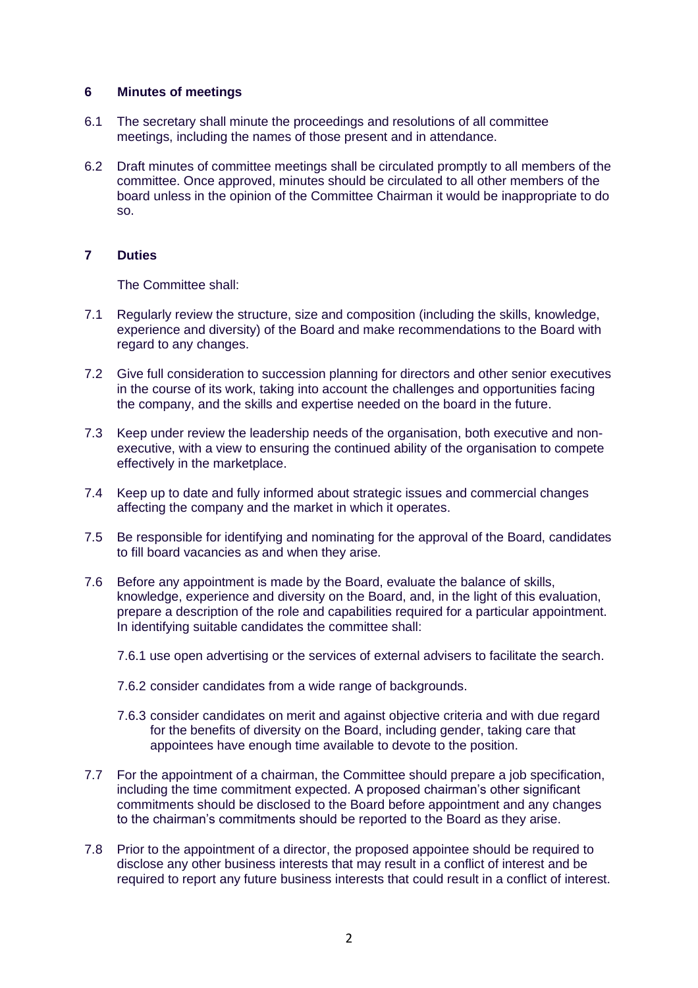### **6 Minutes of meetings**

- 6.1 The secretary shall minute the proceedings and resolutions of all committee meetings, including the names of those present and in attendance.
- 6.2 Draft minutes of committee meetings shall be circulated promptly to all members of the committee. Once approved, minutes should be circulated to all other members of the board unless in the opinion of the Committee Chairman it would be inappropriate to do so.

# **7 Duties**

The Committee shall:

- 7.1 Regularly review the structure, size and composition (including the skills, knowledge, experience and diversity) of the Board and make recommendations to the Board with regard to any changes.
- 7.2 Give full consideration to succession planning for directors and other senior executives in the course of its work, taking into account the challenges and opportunities facing the company, and the skills and expertise needed on the board in the future.
- 7.3 Keep under review the leadership needs of the organisation, both executive and nonexecutive, with a view to ensuring the continued ability of the organisation to compete effectively in the marketplace.
- 7.4 Keep up to date and fully informed about strategic issues and commercial changes affecting the company and the market in which it operates.
- 7.5 Be responsible for identifying and nominating for the approval of the Board, candidates to fill board vacancies as and when they arise.
- 7.6 Before any appointment is made by the Board, evaluate the balance of skills, knowledge, experience and diversity on the Board, and, in the light of this evaluation, prepare a description of the role and capabilities required for a particular appointment. In identifying suitable candidates the committee shall:
	- 7.6.1 use open advertising or the services of external advisers to facilitate the search.
	- 7.6.2 consider candidates from a wide range of backgrounds.
	- 7.6.3 consider candidates on merit and against objective criteria and with due regard for the benefits of diversity on the Board, including gender, taking care that appointees have enough time available to devote to the position.
- 7.7 For the appointment of a chairman, the Committee should prepare a job specification, including the time commitment expected. A proposed chairman's other significant commitments should be disclosed to the Board before appointment and any changes to the chairman's commitments should be reported to the Board as they arise.
- 7.8 Prior to the appointment of a director, the proposed appointee should be required to disclose any other business interests that may result in a conflict of interest and be required to report any future business interests that could result in a conflict of interest.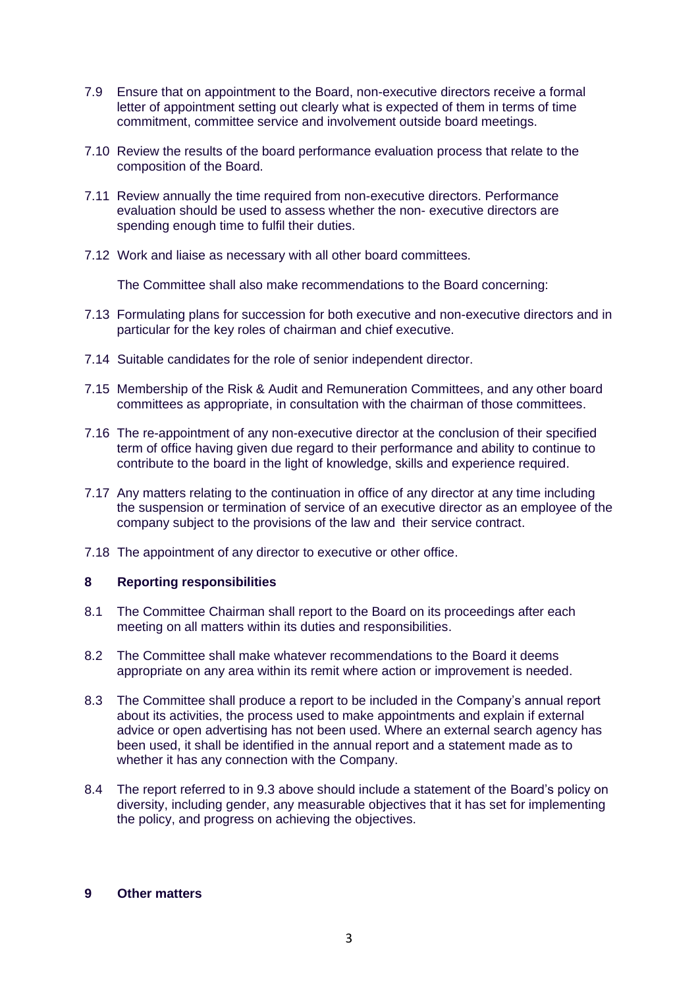- 7.9 Ensure that on appointment to the Board, non-executive directors receive a formal letter of appointment setting out clearly what is expected of them in terms of time commitment, committee service and involvement outside board meetings.
- 7.10 Review the results of the board performance evaluation process that relate to the composition of the Board.
- 7.11 Review annually the time required from non-executive directors. Performance evaluation should be used to assess whether the non- executive directors are spending enough time to fulfil their duties.
- 7.12 Work and liaise as necessary with all other board committees.

The Committee shall also make recommendations to the Board concerning:

- 7.13 Formulating plans for succession for both executive and non-executive directors and in particular for the key roles of chairman and chief executive.
- 7.14 Suitable candidates for the role of senior independent director.
- 7.15 Membership of the Risk & Audit and Remuneration Committees, and any other board committees as appropriate, in consultation with the chairman of those committees.
- 7.16 The re-appointment of any non-executive director at the conclusion of their specified term of office having given due regard to their performance and ability to continue to contribute to the board in the light of knowledge, skills and experience required.
- 7.17 Any matters relating to the continuation in office of any director at any time including the suspension or termination of service of an executive director as an employee of the company subject to the provisions of the law and their service contract.
- 7.18 The appointment of any director to executive or other office.

# **8 Reporting responsibilities**

- 8.1 The Committee Chairman shall report to the Board on its proceedings after each meeting on all matters within its duties and responsibilities.
- 8.2 The Committee shall make whatever recommendations to the Board it deems appropriate on any area within its remit where action or improvement is needed.
- 8.3 The Committee shall produce a report to be included in the Company's annual report about its activities, the process used to make appointments and explain if external advice or open advertising has not been used. Where an external search agency has been used, it shall be identified in the annual report and a statement made as to whether it has any connection with the Company.
- 8.4 The report referred to in 9.3 above should include a statement of the Board's policy on diversity, including gender, any measurable objectives that it has set for implementing the policy, and progress on achieving the objectives.

## **9 Other matters**